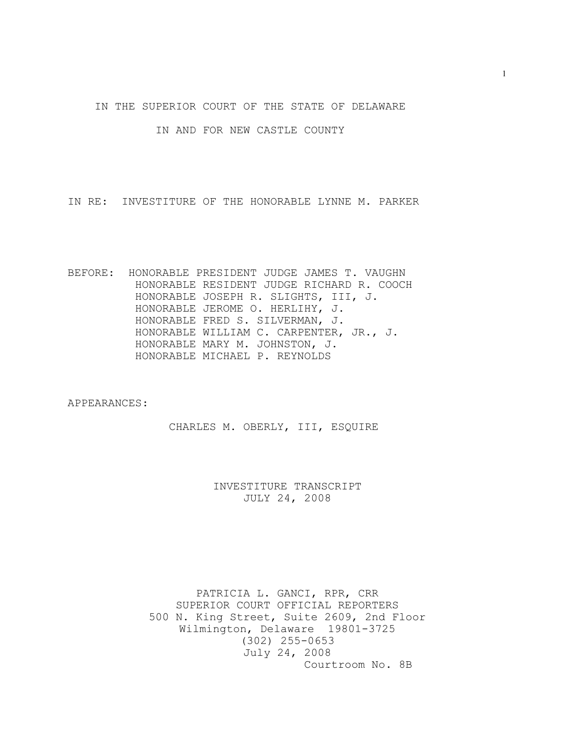IN THE SUPERIOR COURT OF THE STATE OF DELAWARE

IN AND FOR NEW CASTLE COUNTY

IN RE: INVESTITURE OF THE HONORABLE LYNNE M. PARKER

BEFORE: HONORABLE PRESIDENT JUDGE JAMES T. VAUGHN HONORABLE RESIDENT JUDGE RICHARD R. COOCH HONORABLE JOSEPH R. SLIGHTS, III, J. HONORABLE JEROME O. HERLIHY, J. HONORABLE FRED S. SILVERMAN, J. HONORABLE WILLIAM C. CARPENTER, JR., J. HONORABLE MARY M. JOHNSTON, J. HONORABLE MICHAEL P. REYNOLDS

APPEARANCES:

CHARLES M. OBERLY, III, ESQUIRE

INVESTITURE TRANSCRIPT JULY 24, 2008

PATRICIA L. GANCI, RPR, CRR SUPERIOR COURT OFFICIAL REPORTERS 500 N. King Street, Suite 2609, 2nd Floor Wilmington, Delaware 19801-3725 (302) 255-0653 July 24, 2008 Courtroom No. 8B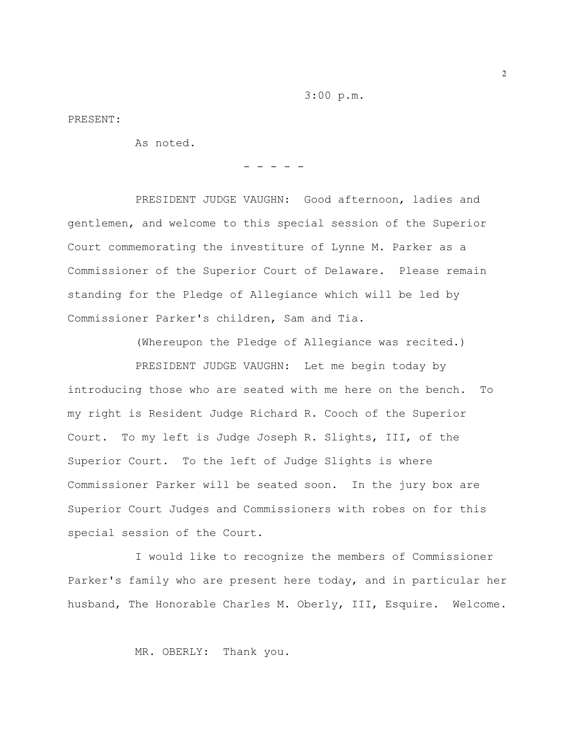3:00 p.m.

PRESENT:

As noted.

- - - - -

PRESIDENT JUDGE VAUGHN: Good afternoon, ladies and gentlemen, and welcome to this special session of the Superior Court commemorating the investiture of Lynne M. Parker as a Commissioner of the Superior Court of Delaware. Please remain standing for the Pledge of Allegiance which will be led by Commissioner Parker's children, Sam and Tia.

(Whereupon the Pledge of Allegiance was recited.)

PRESIDENT JUDGE VAUGHN: Let me begin today by introducing those who are seated with me here on the bench. To my right is Resident Judge Richard R. Cooch of the Superior Court. To my left is Judge Joseph R. Slights, III, of the Superior Court. To the left of Judge Slights is where Commissioner Parker will be seated soon. In the jury box are Superior Court Judges and Commissioners with robes on for this special session of the Court.

I would like to recognize the members of Commissioner Parker's family who are present here today, and in particular her husband, The Honorable Charles M. Oberly, III, Esquire. Welcome.

MR. OBERLY: Thank you.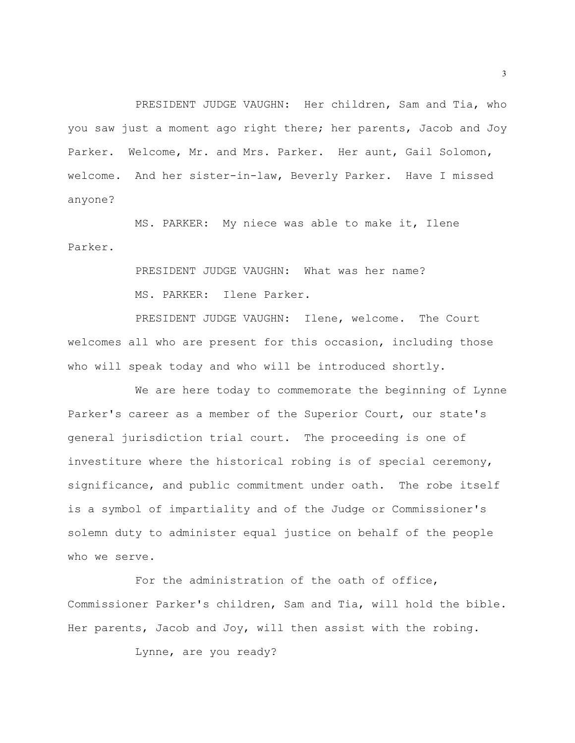PRESIDENT JUDGE VAUGHN: Her children, Sam and Tia, who you saw just a moment ago right there; her parents, Jacob and Joy Parker. Welcome, Mr. and Mrs. Parker. Her aunt, Gail Solomon, welcome. And her sister-in-law, Beverly Parker. Have I missed anyone?

MS. PARKER: My niece was able to make it, Ilene Parker.

> PRESIDENT JUDGE VAUGHN: What was her name? MS. PARKER: Ilene Parker.

PRESIDENT JUDGE VAUGHN: Ilene, welcome. The Court welcomes all who are present for this occasion, including those who will speak today and who will be introduced shortly.

We are here today to commemorate the beginning of Lynne Parker's career as a member of the Superior Court, our state's general jurisdiction trial court. The proceeding is one of investiture where the historical robing is of special ceremony, significance, and public commitment under oath. The robe itself is a symbol of impartiality and of the Judge or Commissioner's solemn duty to administer equal justice on behalf of the people who we serve.

For the administration of the oath of office, Commissioner Parker's children, Sam and Tia, will hold the bible. Her parents, Jacob and Joy, will then assist with the robing.

Lynne, are you ready?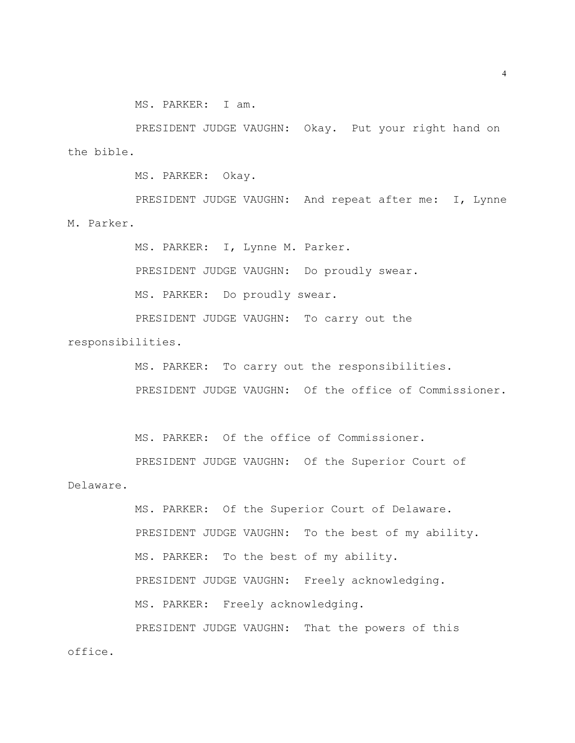MS. PARKER: I am.

PRESIDENT JUDGE VAUGHN: Okay. Put your right hand on the bible.

MS. PARKER: Okay.

office.

PRESIDENT JUDGE VAUGHN: And repeat after me: I, Lynne M. Parker.

MS. PARKER: I, Lynne M. Parker.

PRESIDENT JUDGE VAUGHN: Do proudly swear.

MS. PARKER: Do proudly swear.

PRESIDENT JUDGE VAUGHN: To carry out the responsibilities.

> MS. PARKER: To carry out the responsibilities. PRESIDENT JUDGE VAUGHN: Of the office of Commissioner.

MS. PARKER: Of the office of Commissioner.

PRESIDENT JUDGE VAUGHN: Of the Superior Court of Delaware.

> MS. PARKER: Of the Superior Court of Delaware. PRESIDENT JUDGE VAUGHN: To the best of my ability. MS. PARKER: To the best of my ability. PRESIDENT JUDGE VAUGHN: Freely acknowledging. MS. PARKER: Freely acknowledging. PRESIDENT JUDGE VAUGHN: That the powers of this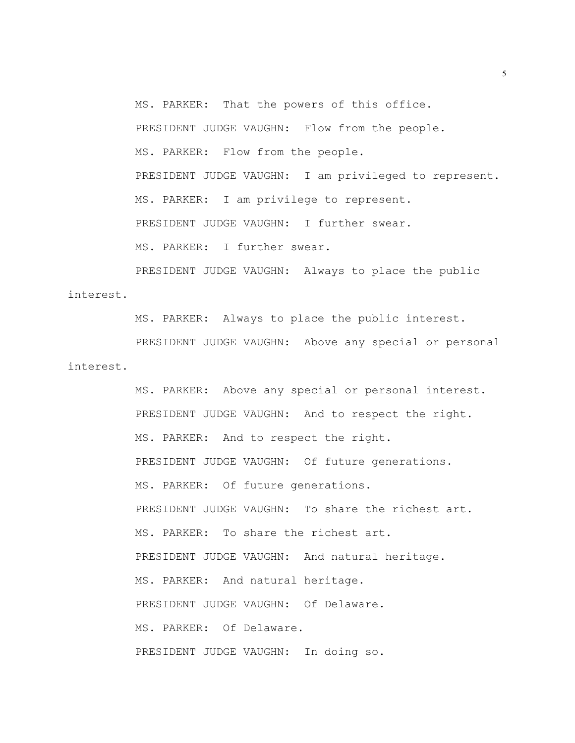MS. PARKER: That the powers of this office. PRESIDENT JUDGE VAUGHN: Flow from the people. MS. PARKER: Flow from the people. PRESIDENT JUDGE VAUGHN: I am privileged to represent. MS. PARKER: I am privilege to represent. PRESIDENT JUDGE VAUGHN: I further swear. MS. PARKER: I further swear.

PRESIDENT JUDGE VAUGHN: Always to place the public interest.

MS. PARKER: Always to place the public interest. PRESIDENT JUDGE VAUGHN: Above any special or personal interest.

> MS. PARKER: Above any special or personal interest. PRESIDENT JUDGE VAUGHN: And to respect the right. MS. PARKER: And to respect the right. PRESIDENT JUDGE VAUGHN: Of future generations. MS. PARKER: Of future generations. PRESIDENT JUDGE VAUGHN: To share the richest art. MS. PARKER: To share the richest art. PRESIDENT JUDGE VAUGHN: And natural heritage. MS. PARKER: And natural heritage. PRESIDENT JUDGE VAUGHN: Of Delaware. MS. PARKER: Of Delaware. PRESIDENT JUDGE VAUGHN: In doing so.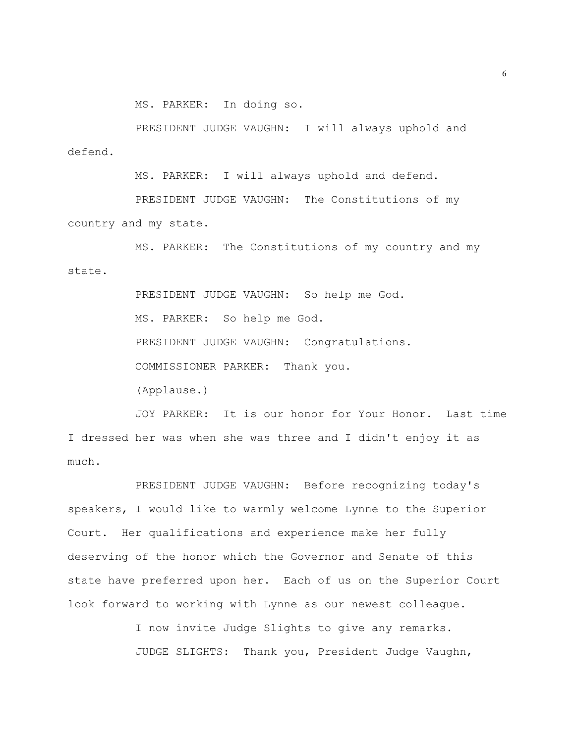MS. PARKER: In doing so.

PRESIDENT JUDGE VAUGHN: I will always uphold and defend.

MS. PARKER: I will always uphold and defend.

PRESIDENT JUDGE VAUGHN: The Constitutions of my country and my state.

MS. PARKER: The Constitutions of my country and my state.

> PRESIDENT JUDGE VAUGHN: So help me God. MS. PARKER: So help me God. PRESIDENT JUDGE VAUGHN: Congratulations. COMMISSIONER PARKER: Thank you. (Applause.)

JOY PARKER: It is our honor for Your Honor. Last time I dressed her was when she was three and I didn't enjoy it as much.

PRESIDENT JUDGE VAUGHN: Before recognizing today's speakers, I would like to warmly welcome Lynne to the Superior Court. Her qualifications and experience make her fully deserving of the honor which the Governor and Senate of this state have preferred upon her. Each of us on the Superior Court look forward to working with Lynne as our newest colleague.

> I now invite Judge Slights to give any remarks. JUDGE SLIGHTS: Thank you, President Judge Vaughn,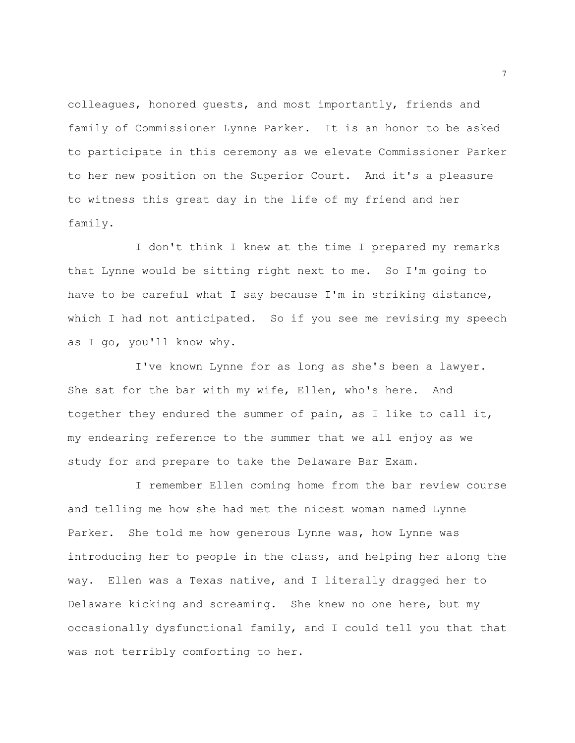colleagues, honored guests, and most importantly, friends and family of Commissioner Lynne Parker. It is an honor to be asked to participate in this ceremony as we elevate Commissioner Parker to her new position on the Superior Court. And it's a pleasure to witness this great day in the life of my friend and her family.

I don't think I knew at the time I prepared my remarks that Lynne would be sitting right next to me. So I'm going to have to be careful what I say because I'm in striking distance, which I had not anticipated. So if you see me revising my speech as I go, you'll know why.

I've known Lynne for as long as she's been a lawyer. She sat for the bar with my wife, Ellen, who's here. And together they endured the summer of pain, as I like to call it, my endearing reference to the summer that we all enjoy as we study for and prepare to take the Delaware Bar Exam.

I remember Ellen coming home from the bar review course and telling me how she had met the nicest woman named Lynne Parker. She told me how generous Lynne was, how Lynne was introducing her to people in the class, and helping her along the way. Ellen was a Texas native, and I literally dragged her to Delaware kicking and screaming. She knew no one here, but my occasionally dysfunctional family, and I could tell you that that was not terribly comforting to her.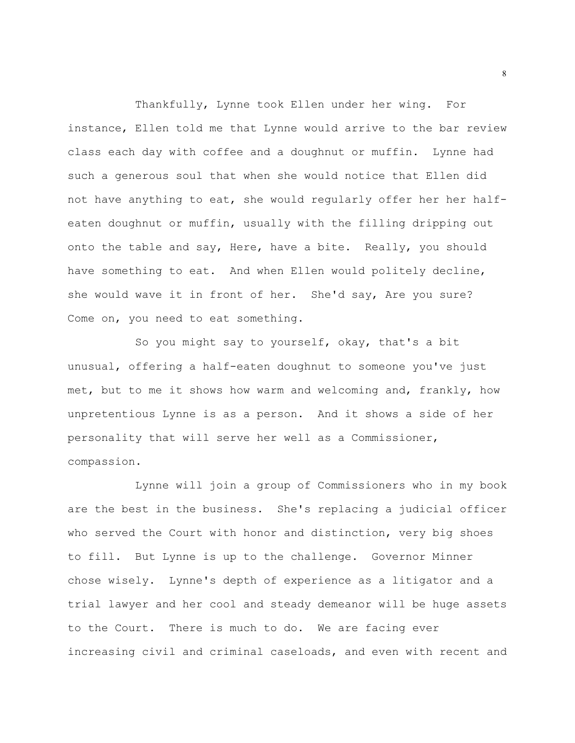Thankfully, Lynne took Ellen under her wing. For instance, Ellen told me that Lynne would arrive to the bar review class each day with coffee and a doughnut or muffin. Lynne had such a generous soul that when she would notice that Ellen did not have anything to eat, she would regularly offer her her halfeaten doughnut or muffin, usually with the filling dripping out onto the table and say, Here, have a bite. Really, you should have something to eat. And when Ellen would politely decline, she would wave it in front of her. She'd say, Are you sure? Come on, you need to eat something.

So you might say to yourself, okay, that's a bit unusual, offering a half-eaten doughnut to someone you've just met, but to me it shows how warm and welcoming and, frankly, how unpretentious Lynne is as a person. And it shows a side of her personality that will serve her well as a Commissioner, compassion.

Lynne will join a group of Commissioners who in my book are the best in the business. She's replacing a judicial officer who served the Court with honor and distinction, very big shoes to fill. But Lynne is up to the challenge. Governor Minner chose wisely. Lynne's depth of experience as a litigator and a trial lawyer and her cool and steady demeanor will be huge assets to the Court. There is much to do. We are facing ever increasing civil and criminal caseloads, and even with recent and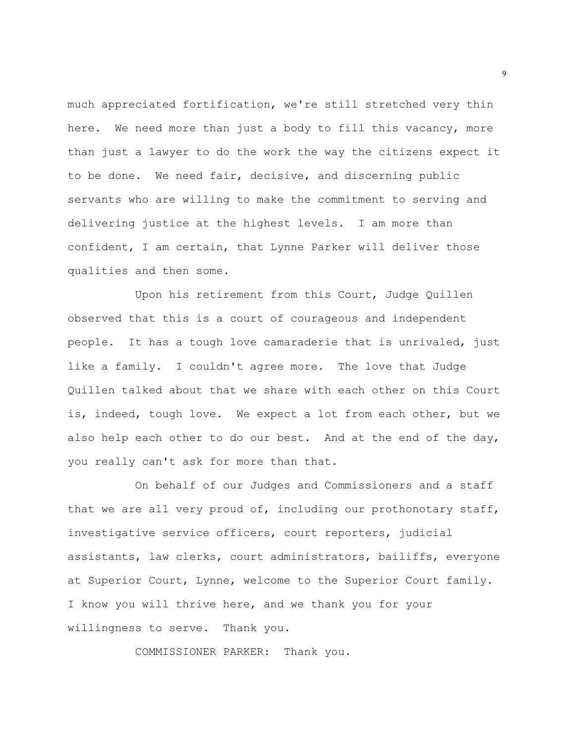much appreciated fortification, we're still stretched very thin here. We need more than just a body to fill this vacancy, more than just a lawyer to do the work the way the citizens expect it to be done. We need fair, decisive, and discerning public servants who are willing to make the commitment to serving and delivering justice at the highest levels. I am more than confident, I am certain, that Lynne Parker will deliver those qualities and then some.

Upon his retirement from this Court, Judge Quillen observed that this is a court of courageous and independent people. It has a tough love camaraderie that is unrivaled, just like a family. I couldn't agree more. The love that Judge Quillen talked about that we share with each other on this Court is, indeed, tough love. We expect a lot from each other, but we also help each other to do our best. And at the end of the day, you really can't ask for more than that.

On behalf of our Judges and Commissioners and a staff that we are all very proud of, including our prothonotary staff, investigative service officers, court reporters, judicial assistants, law clerks, court administrators, bailiffs, everyone at Superior Court, Lynne, welcome to the Superior Court family. I know you will thrive here, and we thank you for your willingness to serve. Thank you.

COMMISSIONER PARKER: Thank you.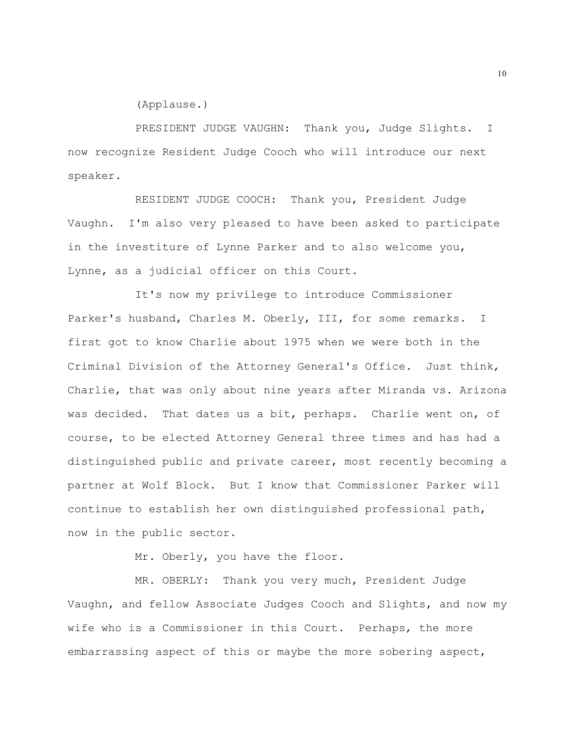(Applause.)

PRESIDENT JUDGE VAUGHN: Thank you, Judge Slights. I now recognize Resident Judge Cooch who will introduce our next speaker.

RESIDENT JUDGE COOCH: Thank you, President Judge Vaughn. I'm also very pleased to have been asked to participate in the investiture of Lynne Parker and to also welcome you, Lynne, as a judicial officer on this Court.

It's now my privilege to introduce Commissioner Parker's husband, Charles M. Oberly, III, for some remarks. I first got to know Charlie about 1975 when we were both in the Criminal Division of the Attorney General's Office. Just think, Charlie, that was only about nine years after Miranda vs. Arizona was decided. That dates us a bit, perhaps. Charlie went on, of course, to be elected Attorney General three times and has had a distinguished public and private career, most recently becoming a partner at Wolf Block. But I know that Commissioner Parker will continue to establish her own distinguished professional path, now in the public sector.

Mr. Oberly, you have the floor.

MR. OBERLY: Thank you very much, President Judge Vaughn, and fellow Associate Judges Cooch and Slights, and now my wife who is a Commissioner in this Court. Perhaps, the more embarrassing aspect of this or maybe the more sobering aspect,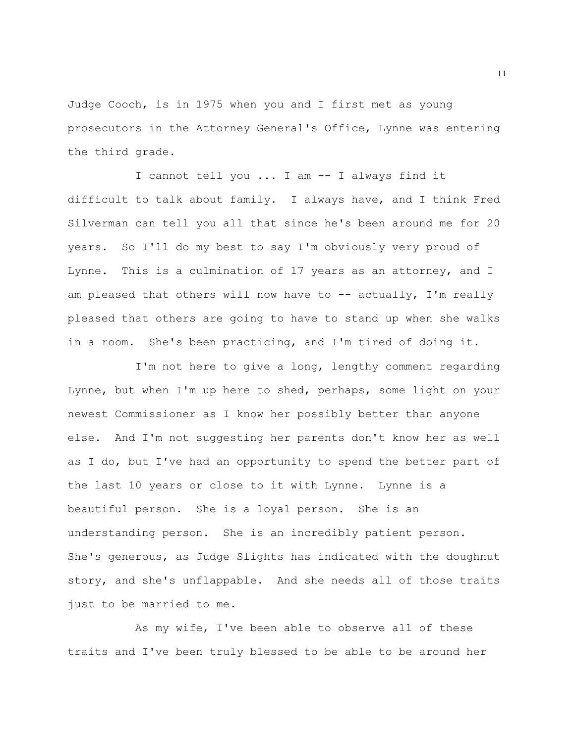Judge Cooch, is in 1975 when you and I first met as young prosecutors in the Attorney General's Office, Lynne was entering the third grade.

I cannot tell you ... I am -- I always find it difficult to talk about family. I always have, and I think Fred Silverman can tell you all that since he's been around me for 20 years. So I'll do my best to say I'm obviously very proud of Lynne. This is a culmination of 17 years as an attorney, and I am pleased that others will now have to  $-$ - actually, I'm really pleased that others are going to have to stand up when she walks in a room. She's been practicing, and I'm tired of doing it.

I'm not here to give a long, lengthy comment regarding Lynne, but when I'm up here to shed, perhaps, some light on your newest Commissioner as I know her possibly better than anyone else. And I'm not suggesting her parents don't know her as well as I do, but I've had an opportunity to spend the better part of the last 10 years or close to it with Lynne. Lynne is a beautiful person. She is a loyal person. She is an understanding person. She is an incredibly patient person. She's generous, as Judge Slights has indicated with the doughnut story, and she's unflappable. And she needs all of those traits just to be married to me.

As my wife, I've been able to observe all of these traits and I've been truly blessed to be able to be around her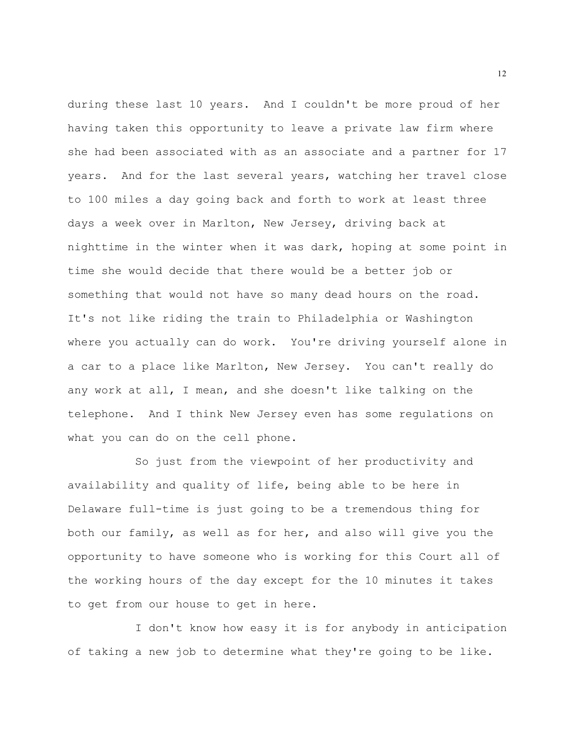during these last 10 years. And I couldn't be more proud of her having taken this opportunity to leave a private law firm where she had been associated with as an associate and a partner for 17 years. And for the last several years, watching her travel close to 100 miles a day going back and forth to work at least three days a week over in Marlton, New Jersey, driving back at nighttime in the winter when it was dark, hoping at some point in time she would decide that there would be a better job or something that would not have so many dead hours on the road. It's not like riding the train to Philadelphia or Washington where you actually can do work. You're driving yourself alone in a car to a place like Marlton, New Jersey. You can't really do any work at all, I mean, and she doesn't like talking on the telephone. And I think New Jersey even has some regulations on what you can do on the cell phone.

So just from the viewpoint of her productivity and availability and quality of life, being able to be here in Delaware full-time is just going to be a tremendous thing for both our family, as well as for her, and also will give you the opportunity to have someone who is working for this Court all of the working hours of the day except for the 10 minutes it takes to get from our house to get in here.

I don't know how easy it is for anybody in anticipation of taking a new job to determine what they're going to be like.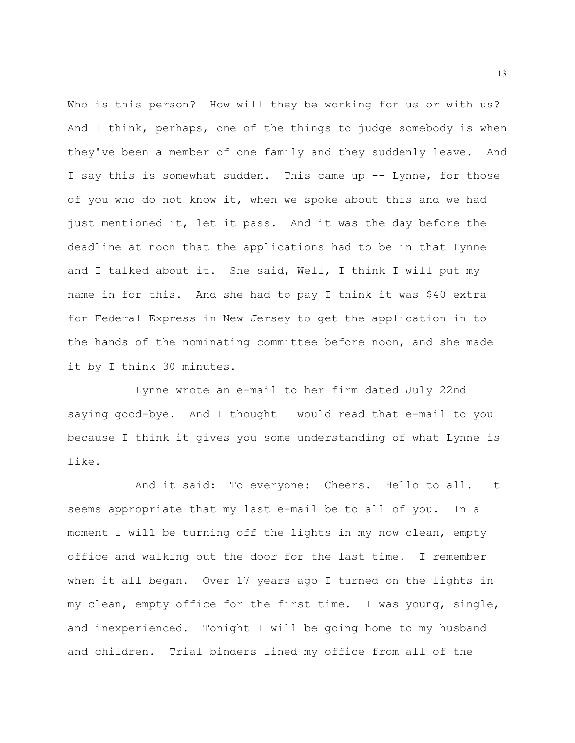Who is this person? How will they be working for us or with us? And I think, perhaps, one of the things to judge somebody is when they've been a member of one family and they suddenly leave. And I say this is somewhat sudden. This came up -- Lynne, for those of you who do not know it, when we spoke about this and we had just mentioned it, let it pass. And it was the day before the deadline at noon that the applications had to be in that Lynne and I talked about it. She said, Well, I think I will put my name in for this. And she had to pay I think it was \$40 extra for Federal Express in New Jersey to get the application in to the hands of the nominating committee before noon, and she made it by I think 30 minutes.

Lynne wrote an e-mail to her firm dated July 22nd saying good-bye. And I thought I would read that e-mail to you because I think it gives you some understanding of what Lynne is like.

And it said: To everyone: Cheers. Hello to all. It seems appropriate that my last e-mail be to all of you. In a moment I will be turning off the lights in my now clean, empty office and walking out the door for the last time. I remember when it all began. Over 17 years ago I turned on the lights in my clean, empty office for the first time. I was young, single, and inexperienced. Tonight I will be going home to my husband and children. Trial binders lined my office from all of the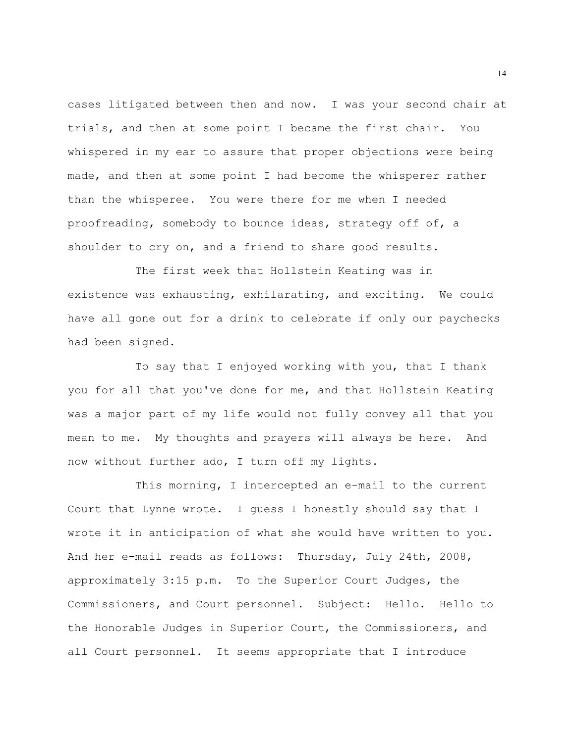cases litigated between then and now. I was your second chair at trials, and then at some point I became the first chair. You whispered in my ear to assure that proper objections were being made, and then at some point I had become the whisperer rather than the whisperee. You were there for me when I needed proofreading, somebody to bounce ideas, strategy off of, a shoulder to cry on, and a friend to share good results.

The first week that Hollstein Keating was in existence was exhausting, exhilarating, and exciting. We could have all gone out for a drink to celebrate if only our paychecks had been signed.

To say that I enjoyed working with you, that I thank you for all that you've done for me, and that Hollstein Keating was a major part of my life would not fully convey all that you mean to me. My thoughts and prayers will always be here. And now without further ado, I turn off my lights.

This morning, I intercepted an e-mail to the current Court that Lynne wrote. I guess I honestly should say that I wrote it in anticipation of what she would have written to you. And her e-mail reads as follows: Thursday, July 24th, 2008, approximately 3:15 p.m. To the Superior Court Judges, the Commissioners, and Court personnel. Subject: Hello. Hello to the Honorable Judges in Superior Court, the Commissioners, and all Court personnel. It seems appropriate that I introduce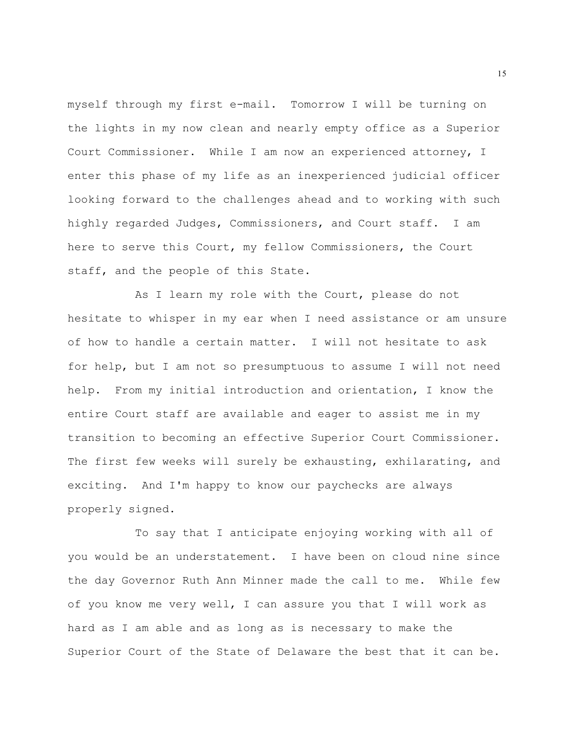myself through my first e-mail. Tomorrow I will be turning on the lights in my now clean and nearly empty office as a Superior Court Commissioner. While I am now an experienced attorney, I enter this phase of my life as an inexperienced judicial officer looking forward to the challenges ahead and to working with such highly regarded Judges, Commissioners, and Court staff. I am here to serve this Court, my fellow Commissioners, the Court staff, and the people of this State.

As I learn my role with the Court, please do not hesitate to whisper in my ear when I need assistance or am unsure of how to handle a certain matter. I will not hesitate to ask for help, but I am not so presumptuous to assume I will not need help. From my initial introduction and orientation, I know the entire Court staff are available and eager to assist me in my transition to becoming an effective Superior Court Commissioner. The first few weeks will surely be exhausting, exhilarating, and exciting. And I'm happy to know our paychecks are always properly signed.

To say that I anticipate enjoying working with all of you would be an understatement. I have been on cloud nine since the day Governor Ruth Ann Minner made the call to me. While few of you know me very well, I can assure you that I will work as hard as I am able and as long as is necessary to make the Superior Court of the State of Delaware the best that it can be.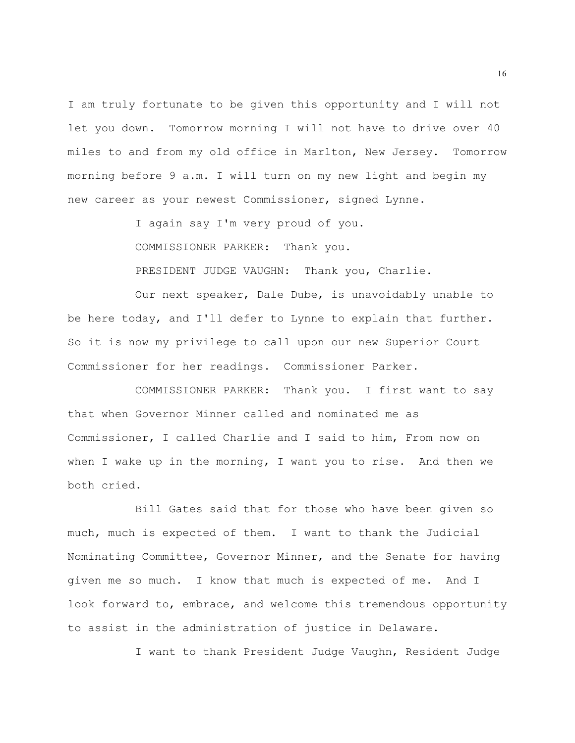I am truly fortunate to be given this opportunity and I will not let you down. Tomorrow morning I will not have to drive over 40 miles to and from my old office in Marlton, New Jersey. Tomorrow morning before 9 a.m. I will turn on my new light and begin my new career as your newest Commissioner, signed Lynne.

I again say I'm very proud of you.

COMMISSIONER PARKER: Thank you.

PRESIDENT JUDGE VAUGHN: Thank you, Charlie.

Our next speaker, Dale Dube, is unavoidably unable to be here today, and I'll defer to Lynne to explain that further. So it is now my privilege to call upon our new Superior Court Commissioner for her readings. Commissioner Parker.

COMMISSIONER PARKER: Thank you. I first want to say that when Governor Minner called and nominated me as Commissioner, I called Charlie and I said to him, From now on when I wake up in the morning, I want you to rise. And then we both cried.

Bill Gates said that for those who have been given so much, much is expected of them. I want to thank the Judicial Nominating Committee, Governor Minner, and the Senate for having given me so much. I know that much is expected of me. And I look forward to, embrace, and welcome this tremendous opportunity to assist in the administration of justice in Delaware.

I want to thank President Judge Vaughn, Resident Judge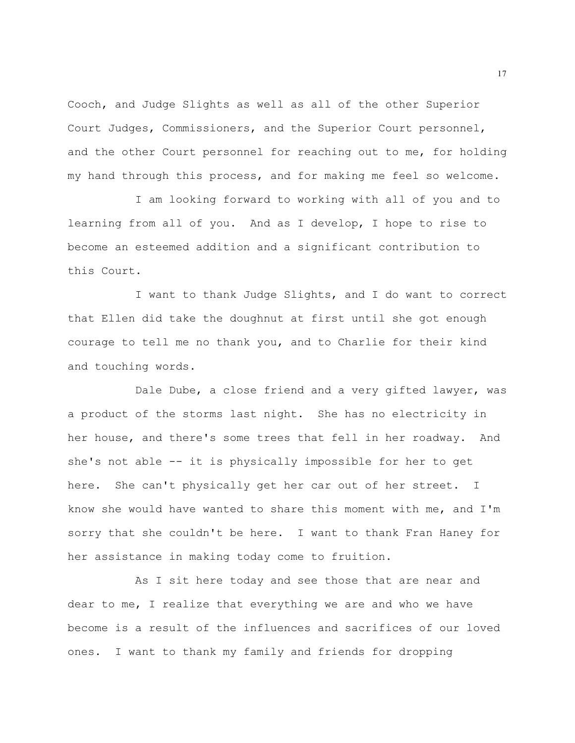Cooch, and Judge Slights as well as all of the other Superior Court Judges, Commissioners, and the Superior Court personnel, and the other Court personnel for reaching out to me, for holding my hand through this process, and for making me feel so welcome.

I am looking forward to working with all of you and to learning from all of you. And as I develop, I hope to rise to become an esteemed addition and a significant contribution to this Court.

I want to thank Judge Slights, and I do want to correct that Ellen did take the doughnut at first until she got enough courage to tell me no thank you, and to Charlie for their kind and touching words.

Dale Dube, a close friend and a very gifted lawyer, was a product of the storms last night. She has no electricity in her house, and there's some trees that fell in her roadway. And she's not able -- it is physically impossible for her to get here. She can't physically get her car out of her street. I know she would have wanted to share this moment with me, and I'm sorry that she couldn't be here. I want to thank Fran Haney for her assistance in making today come to fruition.

As I sit here today and see those that are near and dear to me, I realize that everything we are and who we have become is a result of the influences and sacrifices of our loved ones. I want to thank my family and friends for dropping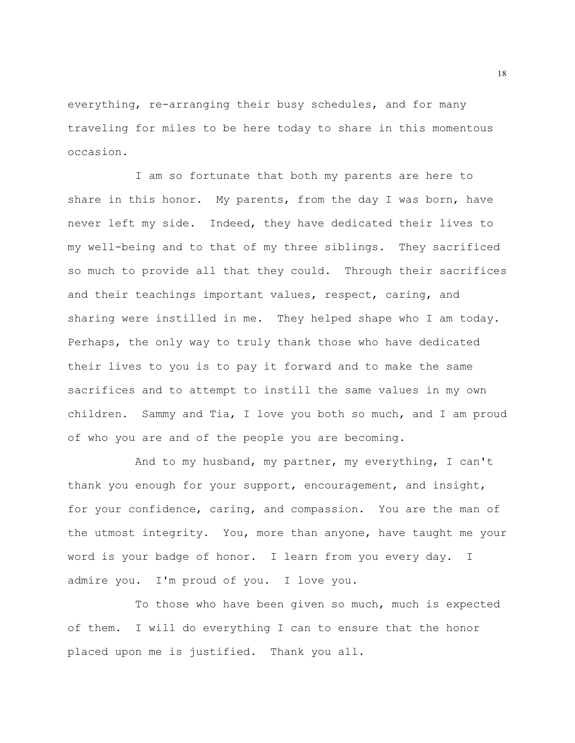everything, re-arranging their busy schedules, and for many traveling for miles to be here today to share in this momentous occasion.

I am so fortunate that both my parents are here to share in this honor. My parents, from the day I was born, have never left my side. Indeed, they have dedicated their lives to my well-being and to that of my three siblings. They sacrificed so much to provide all that they could. Through their sacrifices and their teachings important values, respect, caring, and sharing were instilled in me. They helped shape who I am today. Perhaps, the only way to truly thank those who have dedicated their lives to you is to pay it forward and to make the same sacrifices and to attempt to instill the same values in my own children. Sammy and Tia, I love you both so much, and I am proud of who you are and of the people you are becoming.

And to my husband, my partner, my everything, I can't thank you enough for your support, encouragement, and insight, for your confidence, caring, and compassion. You are the man of the utmost integrity. You, more than anyone, have taught me your word is your badge of honor. I learn from you every day. I admire you. I'm proud of you. I love you.

To those who have been given so much, much is expected of them. I will do everything I can to ensure that the honor placed upon me is justified. Thank you all.